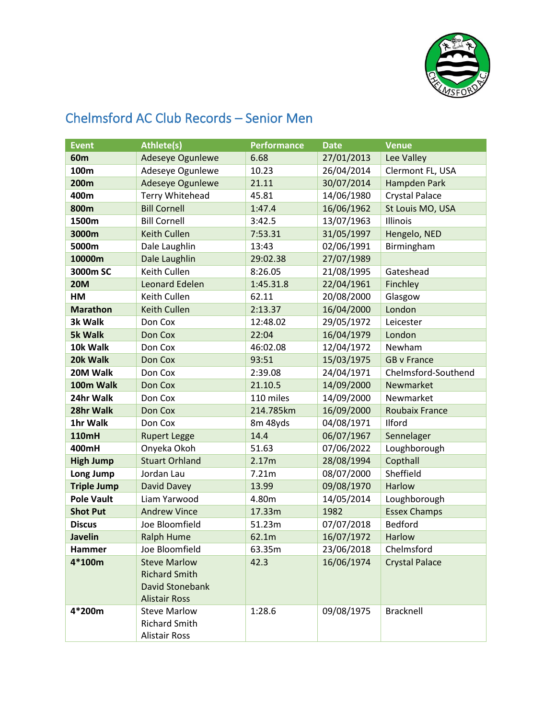

## Chelmsford AC Club Records – Senior Men

| <b>Event</b>       | <b>Athlete(s)</b>                                                                      | <b>Performance</b> | <b>Date</b> | <b>Venue</b>          |
|--------------------|----------------------------------------------------------------------------------------|--------------------|-------------|-----------------------|
| 60 <sub>m</sub>    | Adeseye Ogunlewe                                                                       | 6.68               | 27/01/2013  | Lee Valley            |
| 100m               | Adeseye Ogunlewe                                                                       | 10.23              | 26/04/2014  | Clermont FL, USA      |
| <b>200m</b>        | Adeseye Ogunlewe                                                                       | 21.11              | 30/07/2014  | Hampden Park          |
| 400m               | <b>Terry Whitehead</b>                                                                 | 45.81              | 14/06/1980  | <b>Crystal Palace</b> |
| 800m               | <b>Bill Cornell</b>                                                                    | 1:47.4             | 16/06/1962  | St Louis MO, USA      |
| 1500m              | <b>Bill Cornell</b>                                                                    | 3:42.5             | 13/07/1963  | Illinois              |
| 3000m              | <b>Keith Cullen</b>                                                                    | 7:53.31            | 31/05/1997  | Hengelo, NED          |
| 5000m              | Dale Laughlin                                                                          | 13:43              | 02/06/1991  | Birmingham            |
| 10000m             | Dale Laughlin                                                                          | 29:02.38           | 27/07/1989  |                       |
| 3000m SC           | Keith Cullen                                                                           | 8:26.05            | 21/08/1995  | Gateshead             |
| <b>20M</b>         | <b>Leonard Edelen</b>                                                                  | 1:45.31.8          | 22/04/1961  | Finchley              |
| HM                 | Keith Cullen                                                                           | 62.11              | 20/08/2000  | Glasgow               |
| <b>Marathon</b>    | <b>Keith Cullen</b>                                                                    | 2:13.37            | 16/04/2000  | London                |
| 3k Walk            | Don Cox                                                                                | 12:48.02           | 29/05/1972  | Leicester             |
| <b>5k Walk</b>     | Don Cox                                                                                | 22:04              | 16/04/1979  | London                |
| 10k Walk           | Don Cox                                                                                | 46:02.08           | 12/04/1972  | Newham                |
| 20k Walk           | Don Cox                                                                                | 93:51              | 15/03/1975  | <b>GB v France</b>    |
| 20M Walk           | Don Cox                                                                                | 2:39.08            | 24/04/1971  | Chelmsford-Southend   |
| 100m Walk          | Don Cox                                                                                | 21.10.5            | 14/09/2000  | Newmarket             |
| 24hr Walk          | Don Cox                                                                                | 110 miles          | 14/09/2000  | Newmarket             |
| 28hr Walk          | Don Cox                                                                                | 214.785km          | 16/09/2000  | <b>Roubaix France</b> |
| 1hr Walk           | Don Cox                                                                                | 8m 48yds           | 04/08/1971  | Ilford                |
| 110mH              | <b>Rupert Legge</b>                                                                    | 14.4               | 06/07/1967  | Sennelager            |
| 400mH              | Onyeka Okoh                                                                            | 51.63              | 07/06/2022  | Loughborough          |
| <b>High Jump</b>   | <b>Stuart Orhland</b>                                                                  | 2.17m              | 28/08/1994  | Copthall              |
| Long Jump          | Jordan Lau                                                                             | 7.21m              | 08/07/2000  | Sheffield             |
| <b>Triple Jump</b> | David Davey                                                                            | 13.99              | 09/08/1970  | Harlow                |
| <b>Pole Vault</b>  | Liam Yarwood                                                                           | 4.80m              | 14/05/2014  | Loughborough          |
| <b>Shot Put</b>    | <b>Andrew Vince</b>                                                                    | 17.33m             | 1982        | <b>Essex Champs</b>   |
| <b>Discus</b>      | Joe Bloomfield                                                                         | 51.23m             | 07/07/2018  | <b>Bedford</b>        |
| <b>Javelin</b>     | <b>Ralph Hume</b>                                                                      | 62.1m              | 16/07/1972  | Harlow                |
| Hammer             | Joe Bloomfield                                                                         | 63.35m             | 23/06/2018  | Chelmsford            |
| 4*100m             | <b>Steve Marlow</b><br><b>Richard Smith</b><br>David Stonebank<br><b>Alistair Ross</b> | 42.3               | 16/06/1974  | <b>Crystal Palace</b> |
| 4*200m             | <b>Steve Marlow</b><br><b>Richard Smith</b><br><b>Alistair Ross</b>                    | 1:28.6             | 09/08/1975  | <b>Bracknell</b>      |